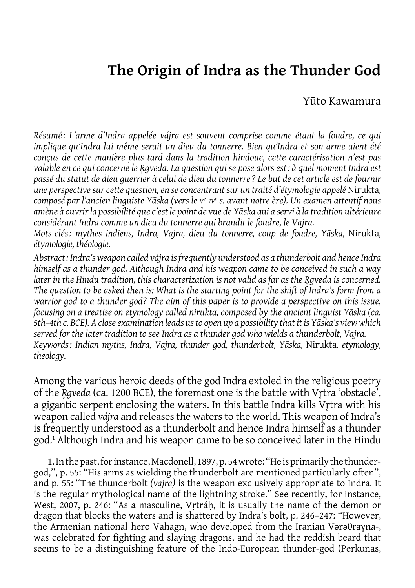# **The Origin of Indra as the Thunder God**

Yūto Kawamura

*Résumé: L'arme d'Indra appelée vájra est souvent comprise comme étant la foudre, ce qui implique qu'Indra lui-même serait un dieu du tonnerre. Bien qu'Indra et son arme aient été conçus de cette manière plus tard dans la tradition hindoue, cette caractérisation n'est pas valable en ce qui concerne le R̥gveda. La question qui se pose alors est: à quel moment Indra est passé du statut de dieu guerrier à celui de dieu du tonnerre? Le but de cet article est de fournir une perspective sur cette question, en se concentrant sur un traité d'étymologie appelé* Nirukta*, composé par l'ancien linguiste Yāska (vers le v<sup>e</sup> -iv<sup>e</sup> s. avant notre ère). Un examen attentif nous amène à ouvrir la possibilité que c'est le point de vue de Yāska qui a servi à la tradition ultérieure considérant Indra comme un dieu du tonnerre qui brandit le foudre, le Vajra.*

*Mots-clés: mythes indiens, Indra, Vajra, dieu du tonnerre, coup de foudre, Yāska,* Nirukta*, étymologie, théologie.*

*Abstract: Indra's weapon called vájra is frequently understood as a thunderbolt and hence Indra himself as a thunder god. Although Indra and his weapon came to be conceived in such a way later in the Hindu tradition, this characterization is not valid as far as the R̥gveda is concerned. The question to be asked then is: What is the starting point for the shift of Indra's form from a warrior god to a thunder god? The aim of this paper is to provide a perspective on this issue, focusing on a treatise on etymology called nirukta, composed by the ancient linguist Yāska (ca. 5th–4th c. BCE). A close examination leads us to open up a possibility that it is Yāska's view which served for the later tradition to see Indra as a thunder god who wields a thunderbolt, Vajra. Keywords: Indian myths, Indra, Vajra, thunder god, thunderbolt, Yāska,* Nirukta*, etymology, theology.*

Among the various heroic deeds of the god Indra extoled in the religious poetry of the *R̥gveda* (ca. 1200 BCE), the foremost one is the battle with Vr̥tra 'obstacle', a gigantic serpent enclosing the waters. In this battle Indra kills Vrtra with his weapon called *vájra* and releases the waters to the world. This weapon of Indra's is frequently understood as a thunderbolt and hence Indra himself as a thunder god.1 Although Indra and his weapon came to be so conceived later in the Hindu

<sup>1.</sup> In the past, for instance, Macdonell, 1897, p. 54 wrote: ''He is primarily the thundergod,'', p. 55: ''His arms as wielding the thunderbolt are mentioned particularly often'', and p. 55: ''The thunderbolt *(vajra)* is the weapon exclusively appropriate to Indra. It is the regular mythological name of the lightning stroke.'' See recently, for instance, West, 2007, p. 246: "As a masculine, Vrtráh, it is usually the name of the demon or dragon that blocks the waters and is shattered by Indra's bolt, p. 246–247: ''However, the Armenian national hero Vahagn, who developed from the Iranian Vərəθraγna-, was celebrated for fighting and slaying dragons, and he had the reddish beard that seems to be a distinguishing feature of the Indo-European thunder-god (Perkunas,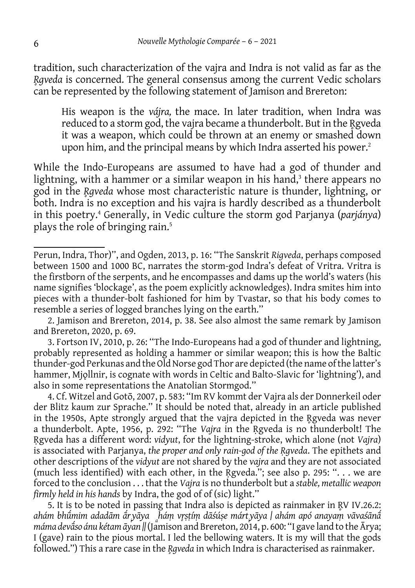tradition, such characterization of the vajra and Indra is not valid as far as the *R̥gveda* is concerned. The general consensus among the current Vedic scholars can be represented by the following statement of Jamison and Brereton:

His weapon is the *vájra,* the mace. In later tradition, when Indra was reduced to a storm god, the vajra became a thunderbolt. But in the Rgveda it was a weapon, which could be thrown at an enemy or smashed down upon him, and the principal means by which Indra asserted his power.<sup>2</sup>

While the Indo-Europeans are assumed to have had a god of thunder and lightning, with a hammer or a similar weapon in his hand,<sup>3</sup> there appears no god in the *R̥gveda* whose most characteristic nature is thunder, lightning, or both. Indra is no exception and his vajra is hardly described as a thunderbolt in this poetry.4 Generally, in Vedic culture the storm god Parjanya (*parjánya*) plays the role of bringing rain.5

3. Fortson IV, 2010, p. 26: ''The Indo-Europeans had a god of thunder and lightning, probably represented as holding a hammer or similar weapon; this is how the Baltic thunder-god Perkunas and the Old Norse god Thor are depicted (the name of the latter's hammer, Mjǫllnir, is cognate with words in Celtic and Balto-Slavic for 'lightning'), and also in some representations the Anatolian Stormgod.''

4. Cf. Witzel and Gotō, 2007, p. 583: ''Im RV kommt der Vajra als der Donnerkeil oder der Blitz kaum zur Sprache.'' It should be noted that, already in an article published in the 1950s, Apte strongly argued that the vajra depicted in the Rgyeda was never a thunderbolt. Apte, 1956, p. 292: ''The *Vajra* in the Ṛgveda is no thunderbolt! The Ṛgveda has a different word: *vidyut*, for the lightning-stroke, which alone (not *Vajra*) is associated with Parjanya, *the proper and only rain-god of the Ṛgveda*. The epithets and other descriptions of the *vidyut* are not shared by the *vajra* and they are not associated (much less identified) with each other, in the Ṛgveda.''; see also p. 295: ''. . . we are forced to the conclusion . . . that the *Vajra* is no thunderbolt but a *stable, metallic weapon firmly held in his hands* by Indra, the god of of (sic) light.''

5. It is to be noted in passing that Indra also is depicted as rainmaker in R̥V IV.26.2: *ahám bhūmim adadām ā ́ ́ ri yāya <sup>a</sup> háṃ vr̥ṣṭíṃ dāśúṣe márt<sup>i</sup> yāya | ahám apó anayaṃ vāvaśānā́ máma devā́ so ánu kétam āyan ||* (Jamison and Brereton, 2014, p. 600: ''I gave land to the Ārya; I (gave) rain to the pious mortal. I led the bellowing waters. It is my will that the gods followed.'') This a rare case in the *R̥gveda* in which Indra is characterised as rainmaker.

Perun, Indra, Thor)'', and Ogden, 2013, p. 16: ''The Sanskrit *Rigveda*, perhaps composed between 1500 and 1000 BC, narrates the storm-god Indra's defeat of Vritra. Vritra is the firstborn of the serpents, and he encompasses and dams up the world's waters (his name signifies 'blockage', as the poem explicitly acknowledges). Indra smites him into pieces with a thunder-bolt fashioned for him by Tvastar, so that his body comes to resemble a series of logged branches lying on the earth.''

<sup>2.</sup> Jamison and Brereton, 2014, p. 38. See also almost the same remark by Jamison and Brereton, 2020, p. 69.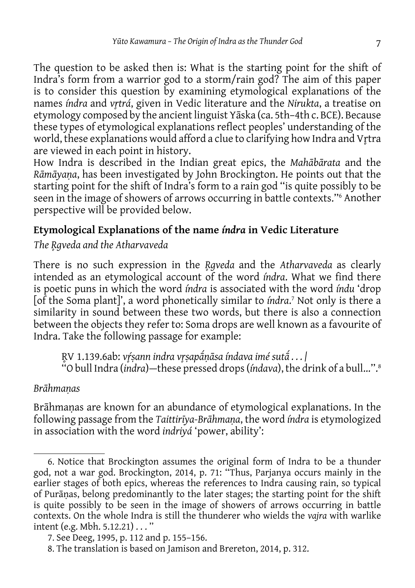The question to be asked then is: What is the starting point for the shift of Indra's form from a warrior god to a storm/rain god? The aim of this paper is to consider this question by examining etymological explanations of the names *índra* and *vr̥trá*, given in Vedic literature and the *Nirukta*, a treatise on etymology composed by the ancient linguist Yāska (ca. 5th–4th c. BCE). Because these types of etymological explanations reflect peoples' understanding of the world, these explanations would afford a clue to clarifying how Indra and Vrtra are viewed in each point in history.

How Indra is described in the Indian great epics, the *Mahābārata* and the *Rāmāyaṇa*, has been investigated by John Brockington. He points out that the starting point for the shift of Indra's form to a rain god ''is quite possibly to be seen in the image of showers of arrows occurring in battle contexts.''6 Another perspective will be provided below.

# **Etymological Explanations of the name** *índra* **in Vedic Literature**

*The R̥gveda and the Atharvaveda*

There is no such expression in the *R̥gveda* and the *Atharvaveda* as clearly intended as an etymological account of the word *índra*. What we find there is poetic puns in which the word *índra* is associated with the word *índu* 'drop [of the Soma plant]', a word phonetically similar to *índra*. 7 Not only is there a similarity in sound between these two words, but there is also a connection between the objects they refer to: Soma drops are well known as a favourite of Indra. Take the following passage for example:

R̥V 1.139.6ab: *vŕ̥ṣann indra vr̥ṣapāṇāsa índava imé sutā ́ ́ . . . |* ''O bull Indra (*indra*)—these pressed drops (*índava*), the drink of a bull...''.8

# *Brāhmaṇas*

Brāhmaṇas are known for an abundance of etymological explanations. In the following passage from the *Taittirīya-Brāhmaṇa*, the word *índra* is etymologized in association with the word *indriyá* 'power, ability':

<sup>6.</sup> Notice that Brockington assumes the original form of Indra to be a thunder god, not a war god. Brockington, 2014, p. 71: ''Thus, Parjanya occurs mainly in the earlier stages of both epics, whereas the references to Indra causing rain, so typical of Purāṇas, belong predominantly to the later stages; the starting point for the shift is quite possibly to be seen in the image of showers of arrows occurring in battle contexts. On the whole Indra is still the thunderer who wields the *vajra* with warlike intent (e.g. Mbh. 5.12.21) . . . ''

<sup>7.</sup> See Deeg, 1995, p. 112 and p. 155–156.

<sup>8.</sup> The translation is based on Jamison and Brereton, 2014, p. 312.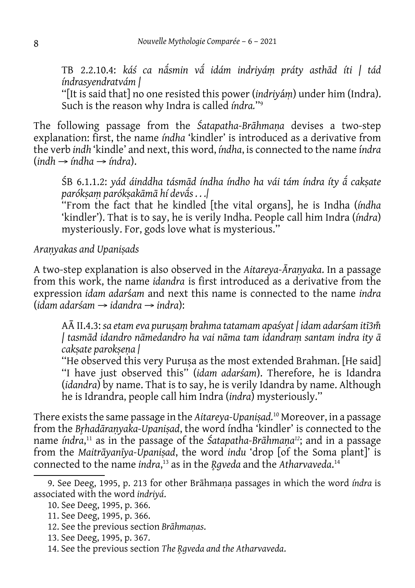TB 2.2.10.4: *káś ca nā́ smin vā́ idám indriyáṃ práty asthād íti | tád índrasyendratvám |*

''[It is said that] no one resisted this power (*indriy*á*ṃ*) under him (Indra). Such is the reason why Indra is called *índra.*''9

The following passage from the *Śatapatha-Brāhmaṇa* devises a two-step explanation: first, the name *índha* 'kindler' is introduced as a derivative from the verb *indh* 'kindle' and next, this word, *índha*, is connected to the name í*ndra* (*indh → índha → índra*).

ŚB 6.1.1.2: *yád áinddha tásmād índha índho ha vái tám índra íty ā́ cakṣate parókṣaṃ parókṣakāmā hí devā́ s . . .|*

''From the fact that he kindled [the vital organs], he is Indha (*índha*  'kindler'). That is to say, he is verily Indha. People call him Indra (*índra*) mysteriously. For, gods love what is mysterious.''

*Araṇyakas and Upaniṣads*

A two-step explanation is also observed in the *Aitareya-Āraṇyaka*. In a passage from this work, the name *idandra* is first introduced as a derivative from the expression *idam adar*ś*am* and next this name is connected to the name *indra* (*idam adarśam → idandra → indra*):

AĀ II.4.3: *sa etam eva puruṣaṃ brahma tatamam apaśyat | idam adarśam itī3m̐ | tasmād idandro nāmedandro ha vai nāma tam idandraṃ santam indra ity ā cakṣate parokṣeṇa |*

''He observed this very Puruṣa as the most extended Brahman. [He said] ''I have just observed this'' (*idam adarśam*). Therefore, he is Idandra (*idandra*) by name. That is to say, he is verily Idandra by name. Although he is Idrandra, people call him Indra (*indra*) mysteriously.''

There exists the same passage in the *Aitareya-Upaniṣad.*10 Moreover, in a passage from the *Br̥hadāraṇyaka-Upaniṣad*, the word índha 'kindler' is connected to the name *índra*, 11 as in the passage of the *Śatapatha-Brāhmaṇa<sup>12</sup>*; and in a passage from the *Maitrāyanīya-Upaniṣad*, the word *indu* 'drop [of the Soma plant]' is connected to the name *indra*, 13 as in the *R̥gveda* and the *Atharvaveda*. 14

<sup>9.</sup> See Deeg, 1995, p. 213 for other Brāhmaṇa passages in which the word *índra* is associated with the word *indriyá*.

<sup>10.</sup> See Deeg, 1995, p. 366.

<sup>11.</sup> See Deeg, 1995, p. 366.

<sup>12.</sup> See the previous section *Brāhmaṇas*.

<sup>13.</sup> See Deeg, 1995, p. 367.

<sup>14.</sup> See the previous section *The R̥gveda and the Atharvaveda*.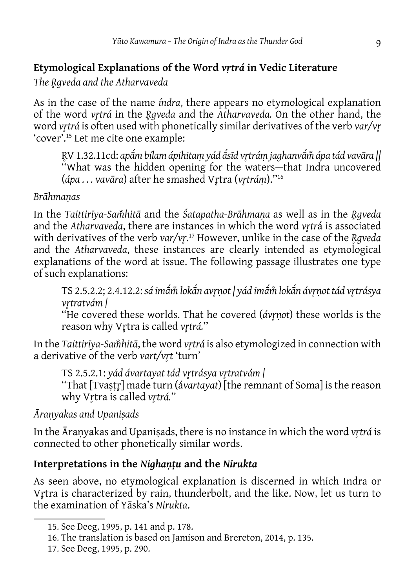# **Etymological Explanations of the Word** *vṛtrá* **in Vedic Literature**

*The R̥gveda and the Atharvaveda*

As in the case of the name *índra*, there appears no etymological explanation of the word *vr̥trá* in the *R̥gveda* and the *Atharvaveda.* On the other hand, the word *vr̥trá* is often used with phonetically similar derivatives of the verb *var/vr̥* 'cover'.15 Let me cite one example:

R,V 1.32.11cd: apā́m bílam ápihitaṃ yád ā́sīd vŗtráṃ jaghanvā́m̌ ápa tád vavāra || ''What was the hidden opening for the waters—that Indra uncovered (*ápa . . . vavāra*) after he smashed Vr̥tra (*vr̥tráṃ*).''16

### *Brāhmaṇas*

In the *Taittirīya-Sam̐ hitā* and the *Śatapatha-Brāhmaṇa* as well as in the *R̥gveda* and the *Atharvaveda*, there are instances in which the word *vrtrá* is associated with derivatives of the verb *var/vr̥.* 17 However, unlike in the case of the *R̥gveda* and the *Atharvaveda*, these instances are clearly intended as etymological explanations of the word at issue. The following passage illustrates one type of such explanations:

TS 2.5.2.2; 2.4.12.2: *sá imām̐ lokā ́ n avr̥ṇot | yád imā ́ m̐ lokā ́ n ávr̥ṇot tád vr̥trásya ́ vr̥tratvám |*

''He covered these worlds. That he covered (*ávr̥ṇot*) these worlds is the reason why Vrtra is called vrtrá."

In the *Taittirīya-Samhitā*, the word *vr*trá is also etymologized in connection with a derivative of the verb *vart/vrt* 'turn'

TS 2.5.2.1: *yád ávartayat tád vr̥trásya vr̥tratvám |*

''That [Tvaṣṭr̥] made turn (á*vartayat*) [the remnant of Soma] is the reason why Vr̥tra is called *vr̥trá.*''

*Āraṇyakas and Upaniṣads*

In the Āraṇyakas and Upaniṣads, there is no instance in which the word *vr̥trá* is connected to other phonetically similar words.

# **Interpretations in the** *Nighaṇṭu* **and the** *Nirukta*

As seen above, no etymological explanation is discerned in which Indra or Vrtra is characterized by rain, thunderbolt, and the like. Now, let us turn to the examination of Yāska's *Nirukta*.

<sup>15.</sup> See Deeg, 1995, p. 141 and p. 178.

<sup>16.</sup> The translation is based on Jamison and Brereton, 2014, p. 135.

<sup>17.</sup> See Deeg, 1995, p. 290.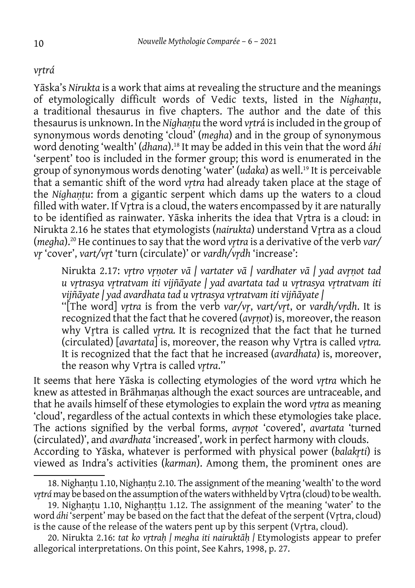#### *vr̥trá*

Yāska's *Nirukta* is a work that aims at revealing the structure and the meanings of etymologically difficult words of Vedic texts, listed in the *Nighaṇṭu*, a traditional thesaurus in five chapters. The author and the date of this thesaurus is unknown. In the *Nighantu* the word *vrtrá* is included in the group of synonymous words denoting 'cloud' (*megha*) and in the group of synonymous word denoting 'wealth' (*dhana*).18 It may be added in this vein that the word á*hi* 'serpent' too is included in the former group; this word is enumerated in the group of synonymous words denoting 'water' (*udaka*) as well.19 It is perceivable that a semantic shift of the word *vr̥tra* had already taken place at the stage of the *Nighaṇṭu*: from a gigantic serpent which dams up the waters to a cloud filled with water. If Vrtra is a cloud, the waters encompassed by it are naturally to be identified as rainwater. Yāska inherits the idea that Vr̥tra is a cloud: in Nirukta 2.16 he states that etymologists (*nairukta*) understand Vrtra as a cloud (*megha*).<sup>20</sup> He continues to say that the word *vrtra* is a derivative of the verb *var*/ *vr̥* 'cover', *vart/vr̥t* 'turn (circulate)' or *vardh/vr̥dh* 'increase':

Nirukta 2.17: *vr̥tro vr̥ṇoter vā | vartater vā | vardhater vā | yad avr̥ṇot tad u vr̥trasya vr̥tratvam iti vijñāyate | yad avartata tad u vr̥trasya vr̥tratvam iti vijñāyate | yad avardhata tad u vr̥trasya vr̥tratvam iti vijñāyate |*

''[The word] *vr̥tra* is from the verb *var/vr̥*, *vart/vr̥t*, or *vardh/vr̥dh*. It is recognized that the fact that he covered (*avr̥ṇot*) is, moreover, the reason why Vr̥tra is called *vr̥tra.* It is recognized that the fact that he turned (circulated) [*avartata*] is, moreover, the reason why Vr̥tra is called *vr̥tra.*  It is recognized that the fact that he increased (*avardhata*) is, moreover, the reason why Vr̥tra is called *vr̥tra*.''

It seems that here Yāska is collecting etymologies of the word *v<sub>tra</sub>* which he knew as attested in Brāhmaṇas although the exact sources are untraceable, and that he avails himself of these etymologies to explain the word *vrtra* as meaning 'cloud', regardless of the actual contexts in which these etymologies take place. The actions signified by the verbal forms, *avr̥ṇot* 'covered', *avartata* 'turned (circulated)', and *avardhata* 'increased', work in perfect harmony with clouds. According to Yāska, whatever is performed with physical power (*balakr̥ti*) is viewed as Indra's activities (*karman*). Among them, the prominent ones are

<sup>18.</sup> Nighaṇṭu 1.10, Nighaṇṭu 2.10. The assignment of the meaning 'wealth' to the word *vrtrá* may be based on the assumption of the waters withheld by Vrtra (cloud) to be wealth.

<sup>19.</sup> Nighaṇṭu 1.10, Nighaṇṭṭu 1.12. The assignment of the meaning 'water' to the word *áhi* 'serpent' may be based on the fact that the defeat of the serpent (Vr̥tra, cloud) is the cause of the release of the waters pent up by this serpent (V<sub>I</sub>tra, cloud).

<sup>20.</sup> Nirukta 2.16: *tat ko vr̥traḥ | megha iti nairuktāḥ |* Etymologists appear to prefer allegorical interpretations. On this point, See Kahrs, 1998, p. 27.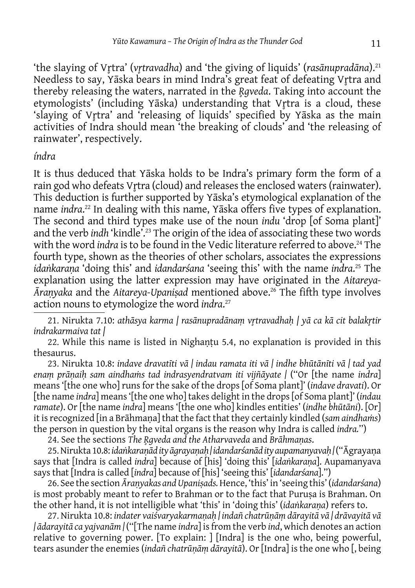'the slaying of Vr̥tra' (*vr̥travadha*) and 'the giving of liquids' (*rasānupradāna*).21 Needless to say, Yāska bears in mind Indra's great feat of defeating Vrtra and thereby releasing the waters, narrated in the *R̥gveda*. Taking into account the etymologists' (including Yāska) understanding that Vrtra is a cloud, these 'slaying of Vrtra' and 'releasing of liquids' specified by Yāska as the main activities of Indra should mean 'the breaking of clouds' and 'the releasing of rainwater', respectively.

#### *índra*

It is thus deduced that Yāska holds to be Indra's primary form the form of a rain god who defeats Vrtra (cloud) and releases the enclosed waters (rainwater). This deduction is further supported by Yāska's etymological explanation of the name *indra*. 22 In dealing with this name, Yāska offers five types of explanation. The second and third types make use of the noun *indu* 'drop [of Soma plant]' and the verb *indh* 'kindle<sup>'</sup>.<sup>23</sup> The origin of the idea of associating these two words with the word *indra* is to be found in the Vedic literature referred to above.<sup>24</sup> The fourth type, shown as the theories of other scholars, associates the expressions *idaṅkaraṇa* 'doing this' and *idandarśana* 'seeing this' with the name *indra*. 25 The explanation using the latter expression may have originated in the *Aitareya-Āraṇyaka* and the *Aitareya-Upaniṣad* mentioned above.26 The fifth type involves action nouns to etymologize the word *indra*. 27

21. Nirukta 7.10: *athāsya karma | rasānupradānaṃ vr̥travadhaḥ | yā ca kā cit balakr̥tir indrakarmaiva tat |*

22. While this name is listed in Nighantu 5.4, no explanation is provided in this thesaurus.

23. Nirukta 10.8: *indave dravatīti vā | indau ramata iti vā | indhe bhūtānīti vā | tad yad enaṃ prāṇaiḥ sam aindhaṁs tad indrasyendratvam iti vijñāyate |* (''Or [the name *indra*] means '[the one who] runs for the sake of the drops [of Soma plant]' (*indave dravati*). Or [the name *indra*] means '[the one who] takes delight in the drops [of Soma plant]' (*indau ramate*). Or [the name *indra*] means '[the one who] kindles entities' (*indhe bhūtāni*). [Or] it is recognized [in a Brāhmaṇa] that the fact that they certainly kindled (*sam aindhaṁs*) the person in question by the vital organs is the reason why Indra is called *indra.*'')

24. See the sections *The R̥gveda and the Atharvaveda* and *Brāhmaṇas*.

25. Nirukta 10.8: *idaṅkaraṇād ity āgrayaṇaḥ | idandarśanād ity aupamanyavaḥ |* (''Āgrayaṇa says that [Indra is called *indra*] because of [his] 'doing this' [*idaṅkaraṇa*]. Aupamanyava says that [Indra is called [*indra*] because of [his] 'seeing this' [*idandarśana*].'')

26. See the section *Āraṇyakas and Upaniṣads.* Hence, 'this' in 'seeing this' (*idandarśana*) is most probably meant to refer to Brahman or to the fact that Purusa is Brahman. On the other hand, it is not intelligible what 'this' in 'doing this' (*idaṅkaraṇa*) refers to.

27. Nirukta 10.8: *indater vaiśvaryakarmaṇaḥ | indañ chatrūṇāṃ dārayitā vā | drāvayitā vā | ādarayitā ca yajvanām |* (''[The name *indra*] is from the verb *ind*, which denotes an action relative to governing power. [To explain: ] [Indra] is the one who, being powerful, tears asunder the enemies (*indañ chatrūṇāṃ dārayitā*). Or [Indra] is the one who [, being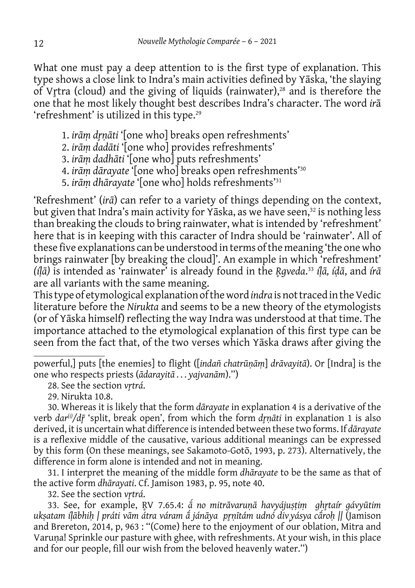What one must pay a deep attention to is the first type of explanation. This type shows a close link to Indra's main activities defined by Yāska, 'the slaying of Vrtra (cloud) and the giving of liquids (rainwater),<sup>28</sup> and is therefore the one that he most likely thought best describes Indra's character. The word *ir*ā 'refreshment' is utilized in this type.<sup>29</sup>

- 1. *irāṃ dr̥ṇāti* '[one who] breaks open refreshments'
- 2. *irāṃ dadāti* '[one who] provides refreshments'
- 3. *irāṃ dadhāti* '[one who] puts refreshments'
- 4. *irāṃ dārayate* '[one who] breaks open refreshments'30
- 5. *irāṃ dhārayate* '[one who] holds refreshments'31

'Refreshment' (*irā*) can refer to a variety of things depending on the context, but given that Indra's main activity for Yāska, as we have seen,<sup>32</sup> is nothing less than breaking the clouds to bring rainwater, what is intended by 'refreshment' here that is in keeping with this caracter of Indra should be 'rainwater'. All of these five explanations can be understood in terms of the meaning 'the one who brings rainwater [by breaking the cloud]'. An example in which 'refreshment' *(íḷā)* is intended as 'rainwater' is already found in the *R̥gveda*. <sup>33</sup> *íḷā, íḍā*, and *írā* are all variants with the same meaning.

This type of etymological explanation of the word *indra* is not traced in the Vedic literature before the *Nirukta* and seems to be a new theory of the etymologists (or of Yāska himself) reflecting the way Indra was understood at that time. The importance attached to the etymological explanation of this first type can be seen from the fact that, of the two verses which Yāska draws after giving the

powerful,] puts [the enemies] to flight ([*indañ chatrūṇāṃ*] *drāvayitā*). Or [Indra] is the one who respects priests (*ādarayitā . . . yajvanām*).'')

29. Nirukta 10.8.

30. Whereas it is likely that the form *dārayate* in explanation 4 is a derivative of the verb *dar(i)/dr̥̄* 'split, break open', from which the form *dr̥ṇāti* in explanation 1 is also derived, it is uncertain what difference is intended between these two forms. If *dārayate*  is a reflexive middle of the causative, various additional meanings can be expressed by this form (On these meanings, see Sakamoto-Gotō, 1993, p. 273). Alternatively, the difference in form alone is intended and not in meaning.

31. I interpret the meaning of the middle form *dhārayate* to be the same as that of the active form *dhārayati*. Cf. Jamison 1983, p. 95, note 40.

32. See the section *vr̥trá*.

33. See, for example, R̥V 7.65.4: *ā́ no mitrāvaruṇā havyájuṣṭiṃ ghr̥taír gávyūtim ukṣatam íḷābhiḥ | práti vām átra váram ā́ jánāya pr̥ṇītám udnó divi yásya cā́ roḥ ||* (Jamison and Brereton, 2014, p, 963 : ''(Come) here to the enjoyment of our oblation, Mitra and Varuṇa! Sprinkle our pasture with ghee, with refreshments. At your wish, in this place and for our people, fill our wish from the beloved heavenly water.'')

<sup>28.</sup> See the section *vrtrá*.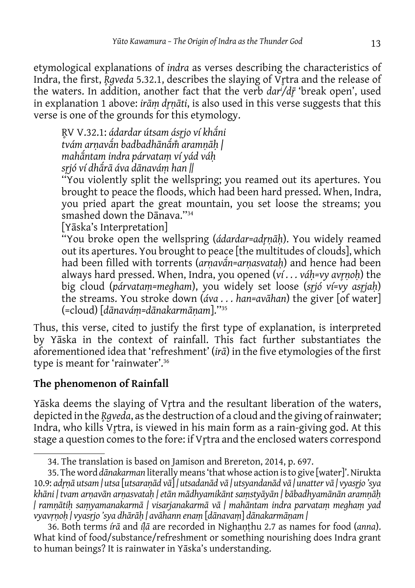etymological explanations of *indra* as verses describing the characteristics of Indra, the first, *R̥gveda* 5.32.1, describes the slaying of Vr̥tra and the release of the waters. In addition, another fact that the verb *dari /dr̥̄*'break open', used in explanation 1 above: *irāṃ dr̥ṇāti*, is also used in this verse suggests that this verse is one of the grounds for this etymology.

R̥V V.32.1: *ádardar útsam ásr̥jo ví khāni ́ tvám arṇavān badbadhānā ́ m̐ aramṇāḥ | ́ mahāntam indra párvataṃ ví yád váḥ ́ sr̥jó ví dhā́ rā áva dānaváṃ han ||*

''You violently split the wellspring; you reamed out its apertures. You brought to peace the floods, which had been hard pressed. When, Indra, you pried apart the great mountain, you set loose the streams; you smashed down the Dānava.''34

[Yāska's Interpretation]

''You broke open the wellspring (*ádardar=adr̥ṇāḥ*). You widely reamed out its apertures. You brought to peace [the multitudes of clouds], which had been filled with torrents (arnavan=arnasvatah) and hence had been always hard pressed. When, Indra, you opened (*ví . . . váḥ=vy avr̥ṇoḥ*) the big cloud (*párvataṃ=megham*), you widely set loose (*sr̥jó ví=vy asr̥jaḥ*) the streams. You stroke down (*áva . . . han=avāhan*) the giver [of water] (=cloud) [*dānaváṃ=dānakarmāṇam*].''35

Thus, this verse, cited to justify the first type of explanation, is interpreted by Yāska in the context of rainfall. This fact further substantiates the aforementioned idea that 'refreshment' (*irā*) in the five etymologies of the first type is meant for 'rainwater'.36

# **The phenomenon of Rainfall**

Yāska deems the slaying of Vrtra and the resultant liberation of the waters, depicted in the *R̥gveda*, as the destruction of a cloud and the giving of rainwater; Indra, who kills Vrtra, is viewed in his main form as a rain-giving god. At this stage a question comes to the fore: if V<sub>I</sub>tra and the enclosed waters correspond

<sup>34.</sup> The translation is based on Jamison and Brereton, 2014, p. 697.

<sup>35.</sup> The word *dānakarman* literally means 'that whose action is to give [water]'. Nirukta 10.9: *adr̥ṇā utsam | utsa* [*utsaraṇād vā*] *| utsadanād vā | utsyandanād vā | unatter vā | vyasr̥jo 'sya khāni | tvam arṇavān arṇasvataḥ | etān mādhyamikānt saṃstyāyān | bābadhyamānān aramṇāḥ | ramṇātiḥ saṃyamanakarmā | visarjanakarmā vā | mahāntam indra parvataṃ meghaṃ yad vyavṛṇoḥ | vyasṛjo 'sya dhārāḥ | avāhann enaṃ* [*dānavaṃ*] *dānakarmāṇam |*

<sup>36.</sup> Both terms *írā* and *íḷā* are recorded in Nighaṇṭhu 2.7 as names for food (*anna*). What kind of food/substance/refreshment or something nourishing does Indra grant to human beings? It is rainwater in Yāska's understanding.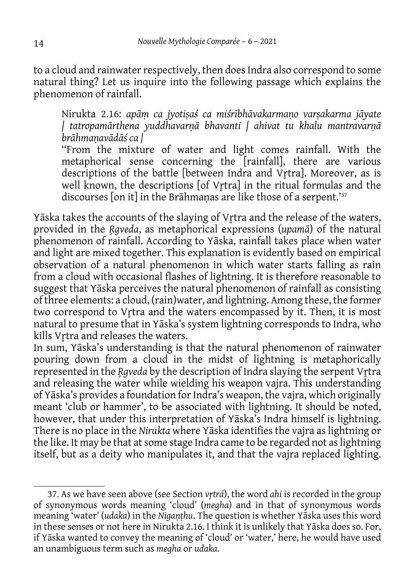to a cloud and rainwater respectively, then does Indra also correspond to some natural thing? Let us inquire into the following passage which explains the phenomenon of rainfall.

Nirukta 2.16: *apāṃ ca jyotiṣaś ca miśrībhāvakarmaṇo varṣakarma jāyate | tatropamārthena yuddhavarṇā bhavanti | ahivat tu khalu mantravarṇā brāhmaṇavādāś ca |*

''From the mixture of water and light comes rainfall. With the metaphorical sense concerning the [rainfall], there are various descriptions of the battle [between Indra and Vrtra]. Moreover, as is well known, the descriptions [of Vr̥tra] in the ritual formulas and the discourses [on it] in the Brāhmanas are like those of a serpent.'<sup>37</sup>

Yāska takes the accounts of the slaying of Vrtra and the release of the waters, provided in the *R̥gveda*, as metaphorical expressions (*upamā*) of the natural phenomenon of rainfall. According to Yāska, rainfall takes place when water and light are mixed together. This explanation is evidently based on empirical observation of a natural phenomenon in which water starts falling as rain from a cloud with occasional flashes of lightning. It is therefore reasonable to suggest that Yāska perceives the natural phenomenon of rainfall as consisting of three elements: a cloud, (rain)water, and lightning. Among these, the former two correspond to Vrtra and the waters encompassed by it. Then, it is most natural to presume that in Yāska's system lightning corresponds to Indra, who kills Vrtra and releases the waters.

In sum, Yāska's understanding is that the natural phenomenon of rainwater pouring down from a cloud in the midst of lightning is metaphorically represented in the *R̥gveda* by the description of Indra slaying the serpent Vr̥tra and releasing the water while wielding his weapon vajra. This understanding of Yāska's provides a foundation for Indra's weapon, the vajra, which originally meant 'club or hammer', to be associated with lightning. It should be noted, however, that under this interpretation of Yāska's Indra himself is lightning. There is no place in the *Nirukta* where Yāska identifies the vajra as lightning or the like. It may be that at some stage Indra came to be regarded not as lightning itself, but as a deity who manipulates it, and that the vajra replaced lighting.

<sup>37.</sup> As we have seen above (see Section *vr̥trá*), the word *ahi* is recorded in the group of synonymous words meaning 'cloud' (*megha*) and in that of synonymous words meaning 'water' (*udaka*) in the *Nigaṇṭhu*. The question is whether Yāska uses this word in these senses or not here in Nirukta 2.16. I think it is unlikely that Yāska does so. For, if Yāska wanted to convey the meaning of 'cloud' or 'water,' here, he would have used an unambiguous term such as *megha* or *udaka*.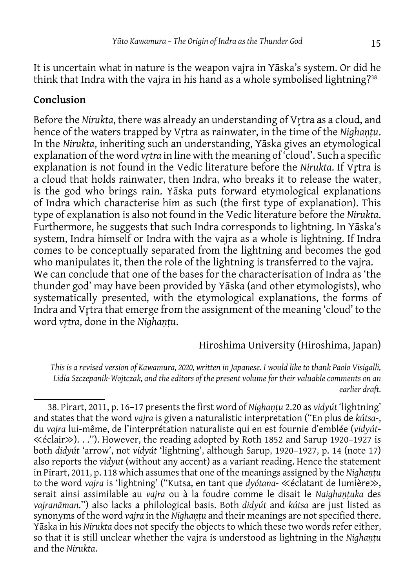It is uncertain what in nature is the weapon vajra in Yāska's system. Or did he think that Indra with the vajra in his hand as a whole symbolised lightning?<sup>38</sup>

#### **Conclusion**

Before the *Nirukta*, there was already an understanding of Vr̥tra as a cloud, and hence of the waters trapped by Vrtra as rainwater, in the time of the *Nighantu*. In the *Nirukta*, inheriting such an understanding, Yāska gives an etymological explanation of the word *vr̥tra* in line with the meaning of 'cloud'. Such a specific explanation is not found in the Vedic literature before the *Nirukta*. If Vrtra is a cloud that holds rainwater, then Indra, who breaks it to release the water, is the god who brings rain. Yāska puts forward etymological explanations of Indra which characterise him as such (the first type of explanation). This type of explanation is also not found in the Vedic literature before the *Nirukta*. Furthermore, he suggests that such Indra corresponds to lightning. In Yāska's system, Indra himself or Indra with the vajra as a whole is lightning. If Indra comes to be conceptually separated from the lightning and becomes the god who manipulates it, then the role of the lightning is transferred to the vajra. We can conclude that one of the bases for the characterisation of Indra as 'the thunder god' may have been provided by Yāska (and other etymologists), who systematically presented, with the etymological explanations, the forms of Indra and Vrtra that emerge from the assignment of the meaning 'cloud' to the word *vr̥tra*, done in the *Nighaṇṭu*.

#### Hiroshima University (Hiroshima, Japan)

*This is a revised version of Kawamura, 2020, written in Japanese. I would like to thank Paolo Visigalli, Lidia Szczepanik-Wojtczak, and the editors of the present volume for their valuable comments on an earlier draft.*

<sup>38.</sup> Pirart, 2011, p. 16–17 presents the first word of *Nighaṇṭu* 2.20 as *vidyút* 'lightning' and states that the word *vajra* is given a naturalistic interpretation (''En plus de *kútsa-*, du *vajra* lui-même, de l'interprétation naturaliste qui en est fournie d'emblée (*vidyút*- ≪éclair≫). . .''). However, the reading adopted by Roth 1852 and Sarup 1920–1927 is both *didyút* 'arrow', not *vidyút* 'lightning', although Sarup, 1920–1927, p. 14 (note 17) also reports the *vidyut* (without any accent) as a variant reading. Hence the statement in Pirart, 2011, p. 118 which assumes that one of the meanings assigned by the *Nighantu* to the word *vajra* is 'lightning' (''Kutsa, en tant que *dyótana-* ≪éclatant de lumière≫, serait ainsi assimilable au *vajra* ou à la foudre comme le disait le *Naighantuka* des *vajranāman*.'') also lacks a philological basis. Both *didyút* and *kútsa* are just listed as synonyms of the word *vajra* in the *Nighaṇṭu* and their meanings are not specified there. Yāska in his *Nirukta* does not specify the objects to which these two words refer either, so that it is still unclear whether the vajra is understood as lightning in the *Nighaṇṭu* and the *Nirukta*.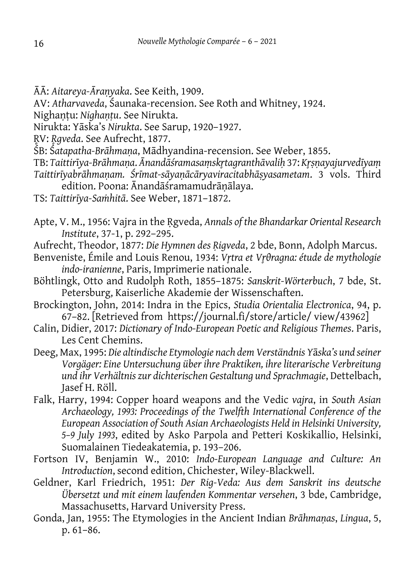- ĀĀ: *Aitareya-Āraṇyaka*. See Keith, 1909.
- AV: *Atharvaveda*, Śaunaka-recension. See Roth and Whitney, 1924.
- Nighaṇṭu: *Nighaṇṭu*. See Nirukta.
- Nirukta: Yāska's *Nirukta*. See Sarup, 1920–1927.
- R̥V: *R̥gveda*. See Aufrecht, 1877.
- ŚB: Ś*atapatha-Brāhmaṇa*, Mādhyandina-recension. See Weber, 1855.
- TB: *Taittir*ī*ya-Brāhmaṇa*. *Ānandāśramasaṃskr̥tagranthāvaliḥ* 37: *Kr̥ṣṇayajurvedīyaṃ*
- *Taittirīyabrāhmaṇam. Śrīmat-sāyaṇācāryaviracitabhāṣyasametam*. 3 vols. Third edition. Poona: Ānandāśramamudrāṇālaya.
- TS: *Taittirīya-Saṁhitā*. See Weber, 1871–1872.
- Apte, V. M., 1956: Vajra in the Ṛgveda, *Annals of the Bhandarkar Oriental Research Institute*, 37-1, p. 292–295.
- Aufrecht, Theodor, 1877: Die Hymnen des Rigveda, 2 bde, Bonn, Adolph Marcus.
- Benveniste, Émile and Louis Renou, 1934: *Vr̥tra et Vr̥θragna: étude de mythologie indo-iranienne*, Paris, Imprimerie nationale.
- Böhtlingk, Otto and Rudolph Roth, 1855–1875: *Sanskrit-Wörterbuch*, 7 bde, St. Petersburg, Kaiserliche Akademie der Wissenschaften.
- Brockington, John, 2014: Indra in the Epics, *Studia Orientalia Electronica*, 94, p. 67–82. [Retrieved from https://journal.fi/store/article/ view/43962]
- Calin, Didier, 2017: *Dictionary of Indo-European Poetic and Religious Themes*. Paris, Les Cent Chemins.
- Deeg, Max, 1995: *Die altindische Etymologie nach dem Verständnis Y*ā*ska's und seiner Vorgäger: Eine Untersuchung über ihre Praktiken, ihre literarische Verbreitung und ihr Verhältnis zur dichterischen Gestaltung und Sprachmagie*, Dettelbach, Jasef H. Röll.
- Falk, Harry, 1994: Copper hoard weapons and the Vedic *vajra*, in *South Asian Archaeology, 1993: Proceedings of the Twelfth International Conference of the European Association of South Asian Archaeologists Held in Helsinki University, 5–9 July 1993*, edited by Asko Parpola and Petteri Koskikallio, Helsinki, Suomalainen Tiedeakatemia, p. 193–206.
- Fortson IV, Benjamin W., 2010: *Indo-European Language and Culture: An Introduction*, second edition, Chichester, Wiley-Blackwell.
- Geldner, Karl Friedrich, 1951: *Der Rig-Veda: Aus dem Sanskrit ins deutsche Übersetzt und mit einem laufenden Kommentar versehen*, 3 bde, Cambridge, Massachusetts, Harvard University Press.
- Gonda, Jan, 1955: The Etymologies in the Ancient Indian *Brāhmaṇas*, *Lingua*, 5, p. 61–86.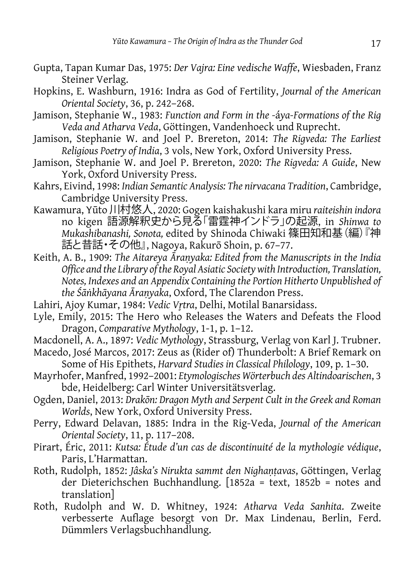- Gupta, Tapan Kumar Das, 1975: *Der Vajra: Eine vedische Waffe*, Wiesbaden, Franz Steiner Verlag.
- Hopkins, E. Washburn, 1916: Indra as God of Fertility, *Journal of the American Oriental Society*, 36, p. 242–268.
- Jamison, Stephanie W., 1983: *Function and Form in the -*á*ya-Formations of the Rig Veda and Atharva Veda*, Göttingen, Vandenhoeck und Ruprecht.
- Jamison, Stephanie W. and Joel P. Brereton, 2014: *The Rigveda: The Earliest Religious Poetry of India*, 3 vols, New York, Oxford University Press.
- Jamison, Stephanie W. and Joel P. Brereton, 2020: *The Rigveda: A Guide*, New York, Oxford University Press.
- Kahrs, Eivind, 1998: *Indian Semantic Analysis: The nirvacana Tradition*, Cambridge, Cambridge University Press.
- Kawamura, Yūto 川村悠人, 2020: Gogen kaishakushi kara miru *raiteishin indora* no kigen 語源解釈史から見る「雷霆神インドラ」の起源, in *Shinwa to Mukashibanashi, Sonota,* edited by Shinoda Chiwaki 篠田知和基(編)『神 話と昔話・その他』, Nagoya, Rakurō Shoin, p. 67–77.
- Keith, A. B., 1909: *The Aitareya Āraṇyaka: Edited from the Manuscripts in the India Office and the Library of the Royal Asiatic Society with Introduction, Translation, Notes, Indexes and an Appendix Containing the Portion Hitherto Unpublished of the Śāṅkhāyana Āraṇyaka*, Oxford, The Clarendon Press.
- Lahiri, Ajoy Kumar, 1984: *Vedic Vrtra*, Delhi, Motilal Banarsidass.
- Lyle, Emily, 2015: The Hero who Releases the Waters and Defeats the Flood Dragon, *Comparative Mythology*, 1-1, p. 1–12.
- Macdonell, A. A., 1897: *Vedic Mythology*, Strassburg, Verlag von Karl J. Trubner. Macedo, José Marcos, 2017: Zeus as (Rider of) Thunderbolt: A Brief Remark on
	- Some of His Epithets, *Harvard Studies in Classical Philology*, 109, p. 1–30.
- Mayrhofer, Manfred, 1992–2001: *Etymologisches Wörterbuch des Altindoarischen*, 3 bde, Heidelberg: Carl Winter Universitätsverlag.
- Ogden, Daniel, 2013: *Drakōn: Dragon Myth and Serpent Cult in the Greek and Roman Worlds*, New York, Oxford University Press.
- Perry, Edward Delavan, 1885: Indra in the Rig-Veda, *Journal of the American Oriental Society*, 11, p. 117–208.
- Pirart, Éric, 2011: *Kutsa: Étude d'un cas de discontinuité de la mythologie védique*, Paris, L'Harmattan.
- Roth, Rudolph, 1852: *Jâska's Nirukta sammt den Nighaṇṭavas*, Göttingen, Verlag der Dieterichschen Buchhandlung. [1852a = text, 1852b = notes and translation]
- Roth, Rudolph and W. D. Whitney, 1924: *Atharva Veda Sanhita*. Zweite verbesserte Auflage besorgt von Dr. Max Lindenau, Berlin, Ferd. Dümmlers Verlagsbuchhandlung.